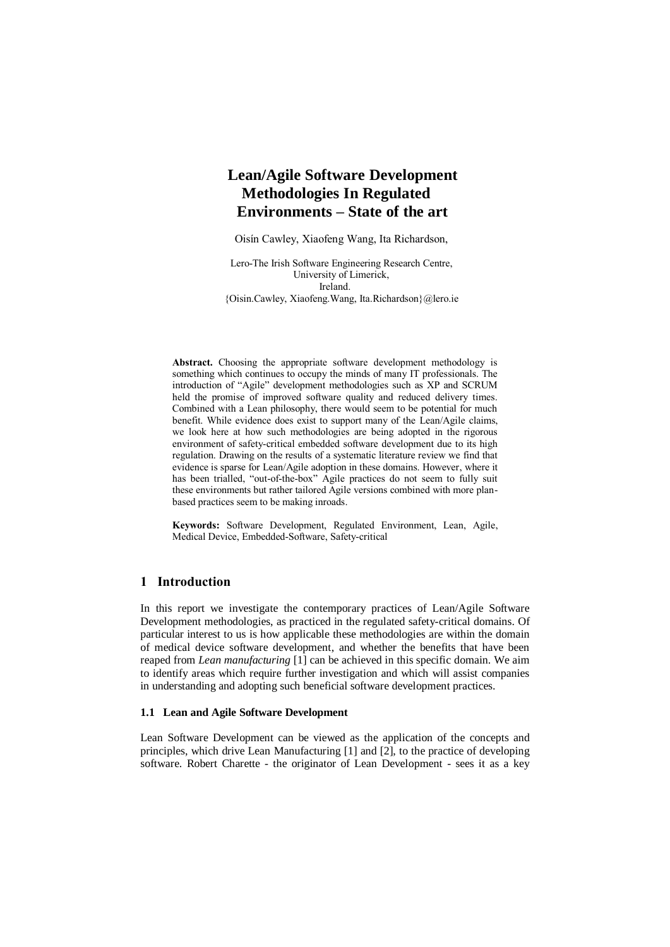# **Lean/Agile Software Development Methodologies In Regulated Environments – State of the art**

Oisín Cawley, Xiaofeng Wang, Ita Richardson,

Lero-The Irish Software Engineering Research Centre, University of Limerick, Ireland. {Oisin.Cawley, Xiaofeng.Wang, Ita.Richardson}@lero.ie

**Abstract.** Choosing the appropriate software development methodology is something which continues to occupy the minds of many IT professionals. The introduction of "Agile" development methodologies such as XP and SCRUM held the promise of improved software quality and reduced delivery times. Combined with a Lean philosophy, there would seem to be potential for much benefit. While evidence does exist to support many of the Lean/Agile claims, we look here at how such methodologies are being adopted in the rigorous environment of safety-critical embedded software development due to its high regulation. Drawing on the results of a systematic literature review we find that evidence is sparse for Lean/Agile adoption in these domains. However, where it has been trialled, "out-of-the-box" Agile practices do not seem to fully suit these environments but rather tailored Agile versions combined with more planbased practices seem to be making inroads.

**Keywords:** Software Development, Regulated Environment, Lean, Agile, Medical Device, Embedded-Software, Safety-critical

## **1 Introduction**

In this report we investigate the contemporary practices of Lean/Agile Software Development methodologies, as practiced in the regulated safety-critical domains. Of particular interest to us is how applicable these methodologies are within the domain of medical device software development, and whether the benefits that have been reaped from *Lean manufacturing* [1] can be achieved in this specific domain. We aim to identify areas which require further investigation and which will assist companies in understanding and adopting such beneficial software development practices.

### **1.1 Lean and Agile Software Development**

Lean Software Development can be viewed as the application of the concepts and principles, which drive Lean Manufacturing [1] and [2], to the practice of developing software. Robert Charette - the originator of Lean Development - sees it as a key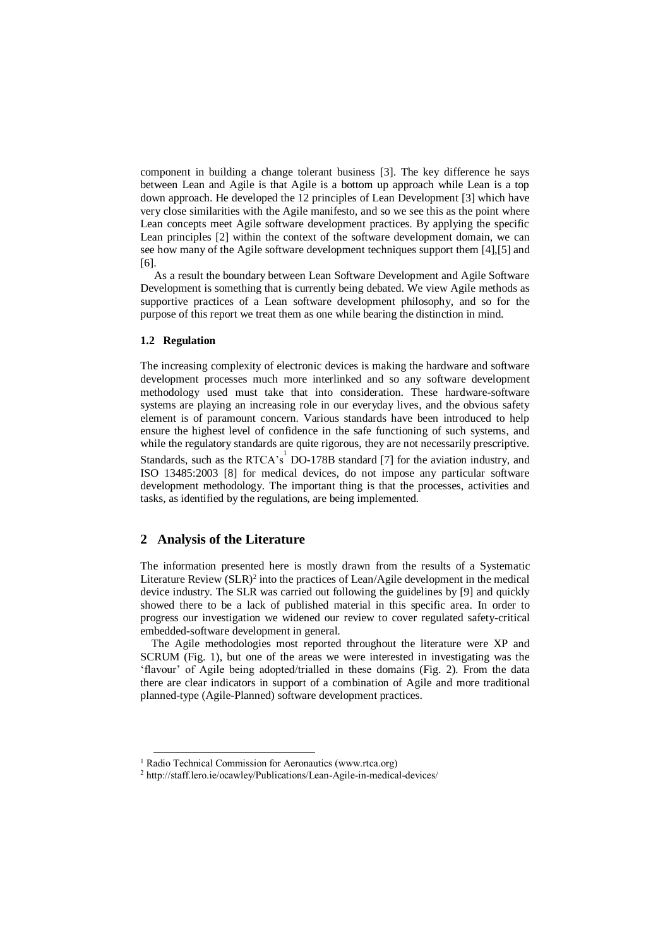component in building a change tolerant business [3]. The key difference he says between Lean and Agile is that Agile is a bottom up approach while Lean is a top down approach. He developed the 12 principles of Lean Development [3] which have very close similarities with the Agile manifesto, and so we see this as the point where Lean concepts meet Agile software development practices. By applying the specific Lean principles [2] within the context of the software development domain, we can see how many of the Agile software development techniques support them [4],[5] and [6].

 As a result the boundary between Lean Software Development and Agile Software Development is something that is currently being debated. We view Agile methods as supportive practices of a Lean software development philosophy, and so for the purpose of this report we treat them as one while bearing the distinction in mind.

### **1.2 Regulation**

-

The increasing complexity of electronic devices is making the hardware and software development processes much more interlinked and so any software development methodology used must take that into consideration. These hardware-software systems are playing an increasing role in our everyday lives, and the obvious safety element is of paramount concern. Various standards have been introduced to help ensure the highest level of confidence in the safe functioning of such systems, and while the regulatory standards are quite rigorous, they are not necessarily prescriptive.

Standards, such as the RTCA's  $100-178B$  standard [7] for the aviation industry, and ISO 13485:2003 [8] for medical devices, do not impose any particular software development methodology. The important thing is that the processes, activities and tasks, as identified by the regulations, are being implemented.

## **2 Analysis of the Literature**

The information presented here is mostly drawn from the results of a Systematic Literature Review  $(SLR)^2$  into the practices of Lean/Agile development in the medical device industry. The SLR was carried out following the guidelines by [9] and quickly showed there to be a lack of published material in this specific area. In order to progress our investigation we widened our review to cover regulated safety-critical embedded-software development in general.

 The Agile methodologies most reported throughout the literature were XP and SCRUM (Fig. 1), but one of the areas we were interested in investigating was the 'flavour' of Agile being adopted/trialled in these domains (Fig. 2). From the data there are clear indicators in support of a combination of Agile and more traditional planned-type (Agile-Planned) software development practices.

<sup>&</sup>lt;sup>1</sup> Radio Technical Commission for Aeronautics (www.rtca.org)

<sup>2</sup> http://staff.lero.ie/ocawley/Publications/Lean-Agile-in-medical-devices/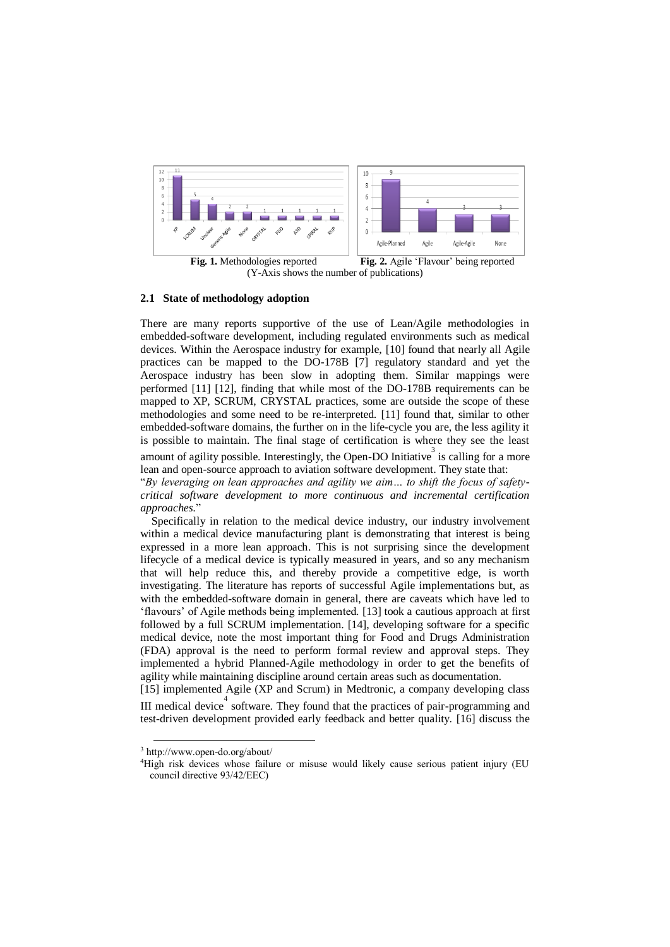

(Y-Axis shows the number of publications)

#### **2.1 State of methodology adoption**

There are many reports supportive of the use of Lean/Agile methodologies in embedded-software development, including regulated environments such as medical devices. Within the Aerospace industry for example, [10] found that nearly all Agile practices can be mapped to the DO-178B [7] regulatory standard and yet the Aerospace industry has been slow in adopting them. Similar mappings were performed [11] [12], finding that while most of the DO-178B requirements can be mapped to XP, SCRUM, CRYSTAL practices, some are outside the scope of these methodologies and some need to be re-interpreted. [11] found that, similar to other embedded-software domains, the further on in the life-cycle you are, the less agility it is possible to maintain. The final stage of certification is where they see the least

amount of agility possible. Interestingly, the Open-DO Initiative  $\frac{3}{18}$  is calling for a more lean and open-source approach to aviation software development. They state that: "*By leveraging on lean approaches and agility we aim… to shift the focus of safety-*

*critical software development to more continuous and incremental certification approaches.*"

 Specifically in relation to the medical device industry, our industry involvement within a medical device manufacturing plant is demonstrating that interest is being expressed in a more lean approach. This is not surprising since the development lifecycle of a medical device is typically measured in years, and so any mechanism that will help reduce this, and thereby provide a competitive edge, is worth investigating. The literature has reports of successful Agile implementations but, as with the embedded-software domain in general, there are caveats which have led to "flavours" of Agile methods being implemented. [13] took a cautious approach at first followed by a full SCRUM implementation. [14], developing software for a specific medical device, note the most important thing for Food and Drugs Administration (FDA) approval is the need to perform formal review and approval steps. They implemented a hybrid Planned-Agile methodology in order to get the benefits of agility while maintaining discipline around certain areas such as documentation.

[15] implemented Agile (XP and Scrum) in Medtronic, a company developing class III medical device 4 software. They found that the practices of pair-programming and test-driven development provided early feedback and better quality. [16] discuss the

-

<sup>3</sup> http://www.open-do.org/about/

<sup>4</sup>High risk devices whose failure or misuse would likely cause serious patient injury (EU council directive 93/42/EEC)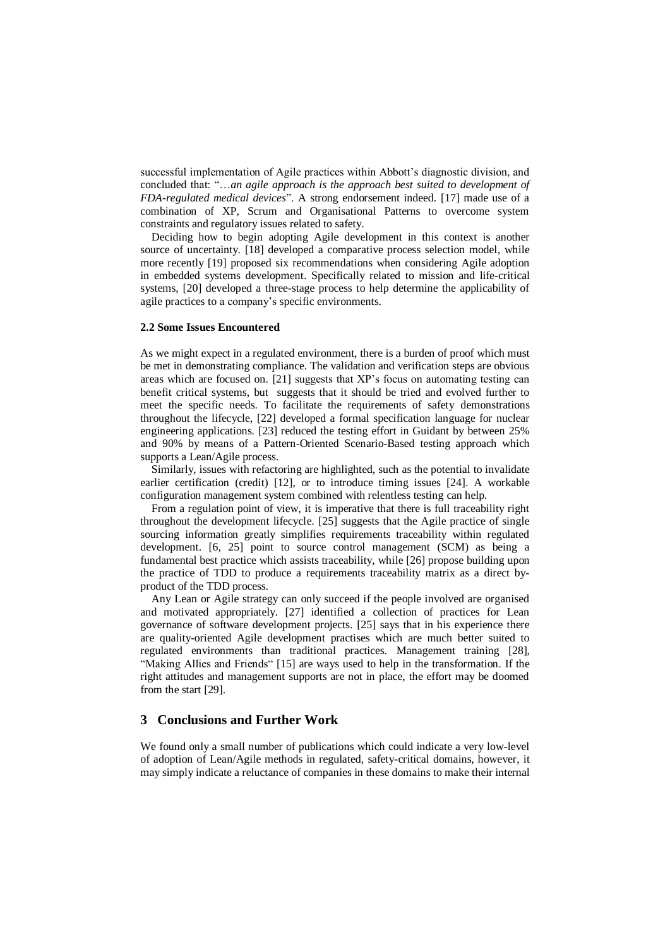successful implementation of Agile practices within Abbott's diagnostic division, and concluded that: "…*an agile approach is the approach best suited to development of FDA-regulated medical devices*". A strong endorsement indeed. [17] made use of a combination of XP, Scrum and Organisational Patterns to overcome system constraints and regulatory issues related to safety.

 Deciding how to begin adopting Agile development in this context is another source of uncertainty. [18] developed a comparative process selection model, while more recently [19] proposed six recommendations when considering Agile adoption in embedded systems development. Specifically related to mission and life-critical systems, [20] developed a three-stage process to help determine the applicability of agile practices to a company"s specific environments.

#### **2.2 Some Issues Encountered**

As we might expect in a regulated environment, there is a burden of proof which must be met in demonstrating compliance. The validation and verification steps are obvious areas which are focused on. [21] suggests that XP"s focus on automating testing can benefit critical systems, but suggests that it should be tried and evolved further to meet the specific needs. To facilitate the requirements of safety demonstrations throughout the lifecycle, [22] developed a formal specification language for nuclear engineering applications. [23] reduced the testing effort in Guidant by between 25% and 90% by means of a Pattern-Oriented Scenario-Based testing approach which supports a Lean/Agile process.

 Similarly, issues with refactoring are highlighted, such as the potential to invalidate earlier certification (credit) [12], or to introduce timing issues [24]. A workable configuration management system combined with relentless testing can help.

 From a regulation point of view, it is imperative that there is full traceability right throughout the development lifecycle. [25] suggests that the Agile practice of single sourcing information greatly simplifies requirements traceability within regulated development. [6, 25] point to source control management (SCM) as being a fundamental best practice which assists traceability, while [26] propose building upon the practice of TDD to produce a requirements traceability matrix as a direct byproduct of the TDD process.

 Any Lean or Agile strategy can only succeed if the people involved are organised and motivated appropriately. [27] identified a collection of practices for Lean governance of software development projects. [25] says that in his experience there are quality-oriented Agile development practises which are much better suited to regulated environments than traditional practices. Management training [28], "Making Allies and Friends" [15] are ways used to help in the transformation. If the right attitudes and management supports are not in place, the effort may be doomed from the start [29].

## **3 Conclusions and Further Work**

We found only a small number of publications which could indicate a very low-level of adoption of Lean/Agile methods in regulated, safety-critical domains, however, it may simply indicate a reluctance of companies in these domains to make their internal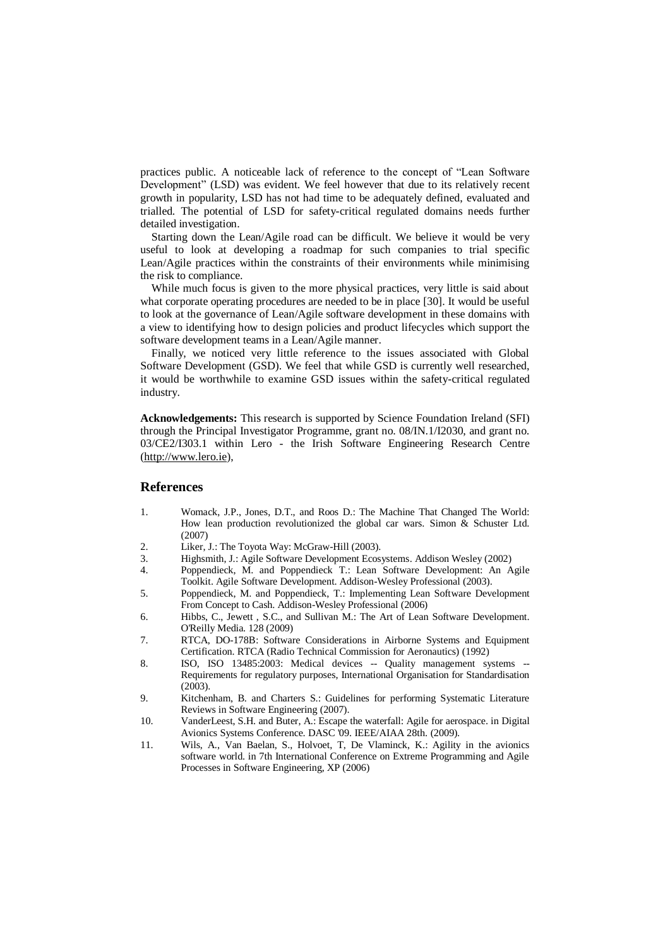practices public. A noticeable lack of reference to the concept of "Lean Software Development" (LSD) was evident. We feel however that due to its relatively recent growth in popularity, LSD has not had time to be adequately defined, evaluated and trialled. The potential of LSD for safety-critical regulated domains needs further detailed investigation.

 Starting down the Lean/Agile road can be difficult. We believe it would be very useful to look at developing a roadmap for such companies to trial specific Lean/Agile practices within the constraints of their environments while minimising the risk to compliance.

 While much focus is given to the more physical practices, very little is said about what corporate operating procedures are needed to be in place [30]. It would be useful to look at the governance of Lean/Agile software development in these domains with a view to identifying how to design policies and product lifecycles which support the software development teams in a Lean/Agile manner.

 Finally, we noticed very little reference to the issues associated with Global Software Development (GSD). We feel that while GSD is currently well researched, it would be worthwhile to examine GSD issues within the safety-critical regulated industry.

**Acknowledgements:** This research is supported by Science Foundation Ireland (SFI) through the Principal Investigator Programme, grant no. 08/IN.1/I2030, and grant no. 03/CE2/I303.1 within Lero - the Irish Software Engineering Research Centre [\(http://www.lero.ie\)](http://www.lero.ie/),

# **References**

- 1. Womack, J.P., Jones, D.T., and Roos D.: The Machine That Changed The World: How lean production revolutionized the global car wars. Simon & Schuster Ltd. (2007)
- 2. Liker, J.: The Toyota Way: McGraw-Hill (2003).
- 3. Highsmith, J.: Agile Software Development Ecosystems. Addison Wesley (2002)
- 4. Poppendieck, M. and Poppendieck T.: Lean Software Development: An Agile Toolkit. Agile Software Development. Addison-Wesley Professional (2003).
- 5. Poppendieck, M. and Poppendieck, T.: Implementing Lean Software Development From Concept to Cash. Addison-Wesley Professional (2006)
- 6. Hibbs, C., Jewett , S.C., and Sullivan M.: The Art of Lean Software Development. O'Reilly Media. 128 (2009)
- 7. RTCA, DO-178B: Software Considerations in Airborne Systems and Equipment Certification. RTCA (Radio Technical Commission for Aeronautics) (1992)
- 8. ISO, ISO 13485:2003: Medical devices -- Quality management systems -- Requirements for regulatory purposes, International Organisation for Standardisation  $(2003)$
- 9. Kitchenham, B. and Charters S.: Guidelines for performing Systematic Literature Reviews in Software Engineering (2007).
- 10. VanderLeest, S.H. and Buter, A.: Escape the waterfall: Agile for aerospace. in Digital Avionics Systems Conference. DASC '09. IEEE/AIAA 28th. (2009).
- 11. Wils, A., Van Baelan, S., Holvoet, T, De Vlaminck, K.: Agility in the avionics software world. in 7th International Conference on Extreme Programming and Agile Processes in Software Engineering, XP (2006)